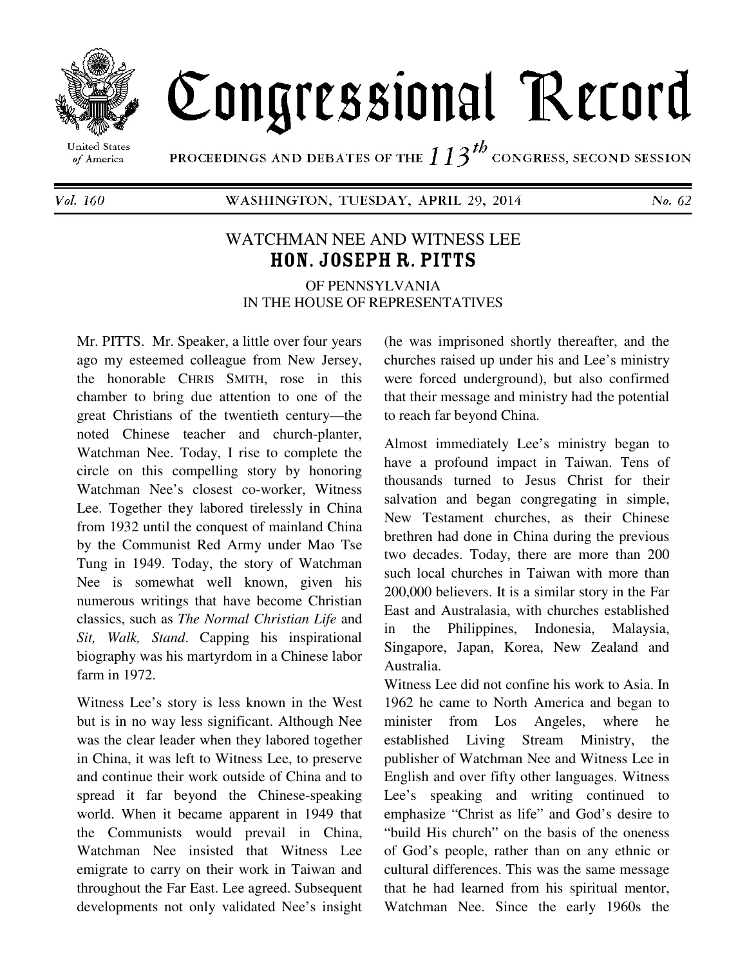

## Congressional Record

**United States** of America

PROCEEDINGS AND DEBATES OF THE  $113^{th}$  congress, second session

Vol. 160

WASHINGTON, TUESDAY, APRIL 29, 2014

No. 62

## WATCHMAN NEE AND WITNESS LEE HON. JOSEPH R. PITTS

OF PENNSYLVANIA IN THE HOUSE OF REPRESENTATIVES

Mr. PITTS. Mr. Speaker, a little over four years ago my esteemed colleague from New Jersey, the honorable CHRIS SMITH, rose in this chamber to bring due attention to one of the great Christians of the twentieth century—the noted Chinese teacher and church-planter, Watchman Nee. Today, I rise to complete the circle on this compelling story by honoring Watchman Nee's closest co-worker, Witness Lee. Together they labored tirelessly in China from 1932 until the conquest of mainland China by the Communist Red Army under Mao Tse Tung in 1949. Today, the story of Watchman Nee is somewhat well known, given his numerous writings that have become Christian classics, such as *The Normal Christian Life* and *Sit, Walk, Stand*. Capping his inspirational biography was his martyrdom in a Chinese labor farm in 1972.

Witness Lee's story is less known in the West but is in no way less significant. Although Nee was the clear leader when they labored together in China, it was left to Witness Lee, to preserve and continue their work outside of China and to spread it far beyond the Chinese-speaking world. When it became apparent in 1949 that the Communists would prevail in China, Watchman Nee insisted that Witness Lee emigrate to carry on their work in Taiwan and throughout the Far East. Lee agreed. Subsequent developments not only validated Nee's insight

(he was imprisoned shortly thereafter, and the churches raised up under his and Lee's ministry were forced underground), but also confirmed that their message and ministry had the potential to reach far beyond China.

Almost immediately Lee's ministry began to have a profound impact in Taiwan. Tens of thousands turned to Jesus Christ for their salvation and began congregating in simple, New Testament churches, as their Chinese brethren had done in China during the previous two decades. Today, there are more than 200 such local churches in Taiwan with more than 200,000 believers. It is a similar story in the Far East and Australasia, with churches established in the Philippines, Indonesia, Malaysia, Singapore, Japan, Korea, New Zealand and Australia.

Witness Lee did not confine his work to Asia. In 1962 he came to North America and began to minister from Los Angeles, where he established Living Stream Ministry, the publisher of Watchman Nee and Witness Lee in English and over fifty other languages. Witness Lee's speaking and writing continued to emphasize "Christ as life" and God's desire to "build His church" on the basis of the oneness of God's people, rather than on any ethnic or cultural differences. This was the same message that he had learned from his spiritual mentor, Watchman Nee. Since the early 1960s the